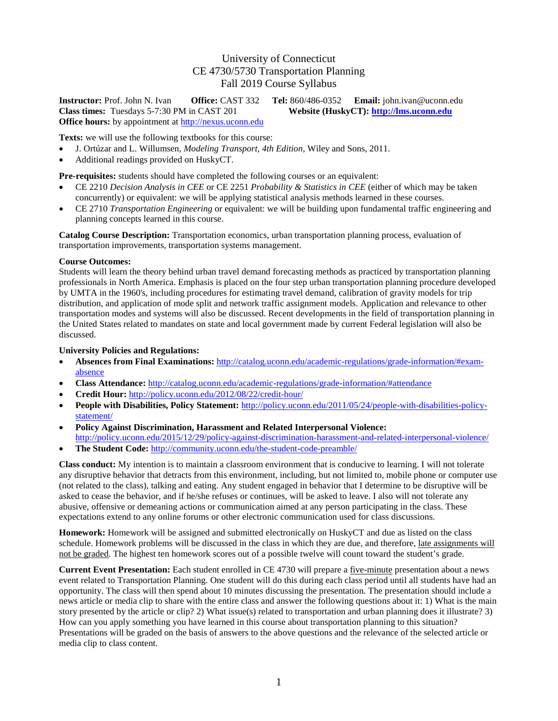## University of Connecticut CE 4730/5730 Transportation Planning Fall 2019 Course Syllabus

**Instructor:** Prof. John N. Ivan **Office:** CAST 332 **Tel:** 860/486-0352 **Email:** john.ivan@uconn.edu **Class times:** Tuesdays 5-7:30 PM in CAST 201 **Website (HuskyCT):** http://lms.uconn.edu **Class times:** Tuesdays 5-7:30 PM in CAST 201 **Office hours:** by appointment at [http://nexus.uconn.edu](http://nexus.uconn.edu/)

**Texts:** we will use the following textbooks for this course:

- J. Ortúzar and L. Willumsen, *Modeling Transport, 4th Edition*, Wiley and Sons, 2011.
- Additional readings provided on HuskyCT.

**Pre-requisites:** students should have completed the following courses or an equivalent:

- CE 2210 *Decision Analysis in CEE* or CE 2251 *Probability & Statistics in CEE* (either of which may be taken concurrently) or equivalent: we will be applying statistical analysis methods learned in these courses.
- CE 2710 *Transportation Engineering* or equivalent: we will be building upon fundamental traffic engineering and planning concepts learned in this course.

**Catalog Course Description:** Transportation economics, urban transportation planning process, evaluation of transportation improvements, transportation systems management.

## **Course Outcomes:**

Students will learn the theory behind urban travel demand forecasting methods as practiced by transportation planning professionals in North America. Emphasis is placed on the four step urban transportation planning procedure developed by UMTA in the 1960's, including procedures for estimating travel demand, calibration of gravity models for trip distribution, and application of mode split and network traffic assignment models. Application and relevance to other transportation modes and systems will also be discussed. Recent developments in the field of transportation planning in the United States related to mandates on state and local government made by current Federal legislation will also be discussed.

## **University Policies and Regulations:**

- **Absences from Final Examinations:** [http://catalog.uconn.edu/academic-regulations/grade-information/#exam](http://catalog.uconn.edu/academic-regulations/grade-information/#exam-absence)[absence](http://catalog.uconn.edu/academic-regulations/grade-information/#exam-absence)
- **Class Attendance:** <http://catalog.uconn.edu/academic-regulations/grade-information/#attendance>
- **Credit Hour:** <http://policy.uconn.edu/2012/08/22/credit-hour/>
- **People with Disabilities, Policy Statement:** [http://policy.uconn.edu/2011/05/24/people-with-disabilities-policy](http://policy.uconn.edu/2011/05/24/people-with-disabilities-policy-statement/)[statement/](http://policy.uconn.edu/2011/05/24/people-with-disabilities-policy-statement/)
- **Policy Against Discrimination, Harassment and Related Interpersonal Violence:** <http://policy.uconn.edu/2015/12/29/policy-against-discrimination-harassment-and-related-interpersonal-violence/>
- **The Student Code:** <http://community.uconn.edu/the-student-code-preamble/>

**Class conduct:** My intention is to maintain a classroom environment that is conducive to learning. I will not tolerate any disruptive behavior that detracts from this environment, including, but not limited to, mobile phone or computer use (not related to the class), talking and eating. Any student engaged in behavior that I determine to be disruptive will be asked to cease the behavior, and if he/she refuses or continues, will be asked to leave. I also will not tolerate any abusive, offensive or demeaning actions or communication aimed at any person participating in the class. These expectations extend to any online forums or other electronic communication used for class discussions.

**Homework:** Homework will be assigned and submitted electronically on HuskyCT and due as listed on the class schedule. Homework problems will be discussed in the class in which they are due, and therefore, late assignments will not be graded. The highest ten homework scores out of a possible twelve will count toward the student's grade.

**Current Event Presentation:** Each student enrolled in CE 4730 will prepare a five-minute presentation about a news event related to Transportation Planning. One student will do this during each class period until all students have had an opportunity. The class will then spend about 10 minutes discussing the presentation. The presentation should include a news article or media clip to share with the entire class and answer the following questions about it: 1) What is the main story presented by the article or clip? 2) What issue(s) related to transportation and urban planning does it illustrate? 3) How can you apply something you have learned in this course about transportation planning to this situation? Presentations will be graded on the basis of answers to the above questions and the relevance of the selected article or media clip to class content.